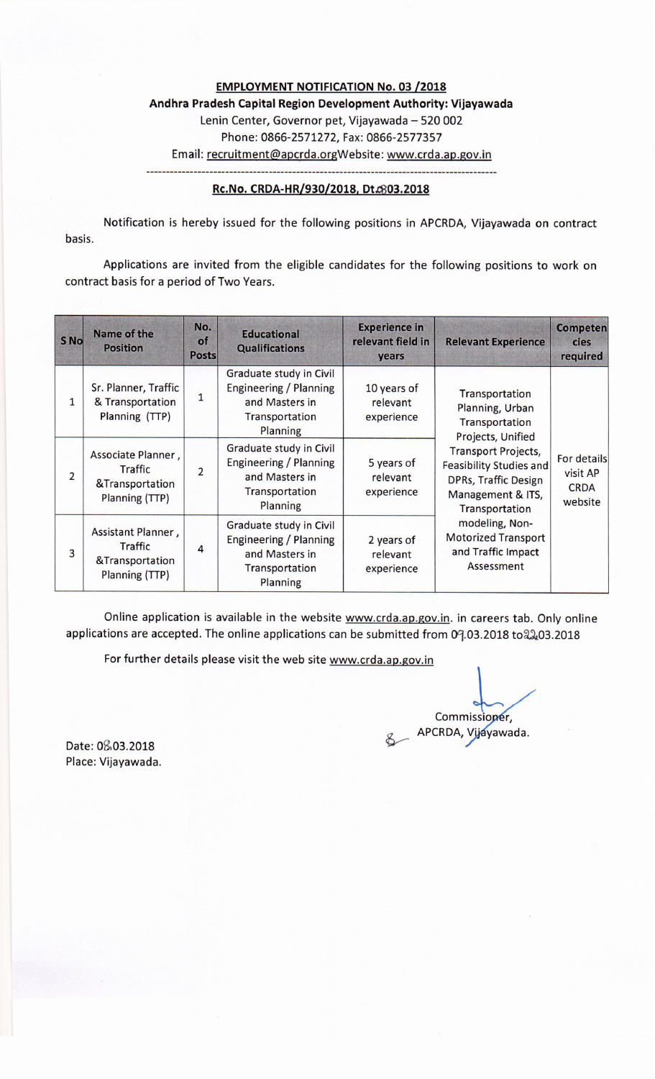**EMPLOYMENT NOTIFICATION No. 03 /2018** Andhra Pradesh Capital Region Development Authority: Vijayawada Lenin Center, Governor pet, Vijayawada - 520 002 Phone: 0866-2571272, Fax: 0866-2577357 Email: recruitment@apcrda.orgWebsite: www.crda.ap.gov.in

#### Rc.No. CRDA-HR/930/2018, Dt.6803.2018

Notification is hereby issued for the following positions in APCRDA, Vijayawada on contract basis.

Applications are invited from the eligible candidates for the following positions to work on contract basis for a period of Two Years.

| S No           | Name of the<br><b>Position</b>                                            | No.<br>of<br><b>Posts</b> | <b>Educational</b><br><b>Qualifications</b>                                                       | <b>Experience in</b><br>relevant field in<br>years | <b>Relevant Experience</b>                                                                                                         | <b>Competen</b><br><b>cies</b><br>required        |
|----------------|---------------------------------------------------------------------------|---------------------------|---------------------------------------------------------------------------------------------------|----------------------------------------------------|------------------------------------------------------------------------------------------------------------------------------------|---------------------------------------------------|
| 1              | Sr. Planner, Traffic<br>& Transportation<br>Planning (TTP)                | $\mathbf{1}$              | Graduate study in Civil<br>Engineering / Planning<br>and Masters in<br>Transportation<br>Planning | 10 years of<br>relevant<br>experience              | Transportation<br>Planning, Urban<br>Transportation<br>Projects, Unified                                                           | For details<br>visit AP<br><b>CRDA</b><br>website |
| $\overline{2}$ | Associate Planner,<br>Traffic<br>&Transportation<br>Planning (TTP)        | $\overline{2}$            | Graduate study in Civil<br>Engineering / Planning<br>and Masters in<br>Transportation<br>Planning | 5 years of<br>relevant<br>experience               | <b>Transport Projects,</b><br><b>Feasibility Studies and</b><br><b>DPRs, Traffic Design</b><br>Management & ITS,<br>Transportation |                                                   |
| 3              | Assistant Planner,<br><b>Traffic</b><br>&Transportation<br>Planning (TTP) | $\overline{4}$            | Graduate study in Civil<br>Engineering / Planning<br>and Masters in<br>Transportation<br>Planning | 2 years of<br>relevant<br>experience               | modeling, Non-<br><b>Motorized Transport</b><br>and Traffic Impact<br>Assessment                                                   |                                                   |

Online application is available in the website www.crda.ap.gov.in. in careers tab. Only online applications are accepted. The online applications can be submitted from 09.03.2018 to 22.03.2018

For further details please visit the web site www.crda.ap.gov.in

Commissioner, APCRDA, Vijayawada.

Date: 08,03.2018 Place: Vijayawada.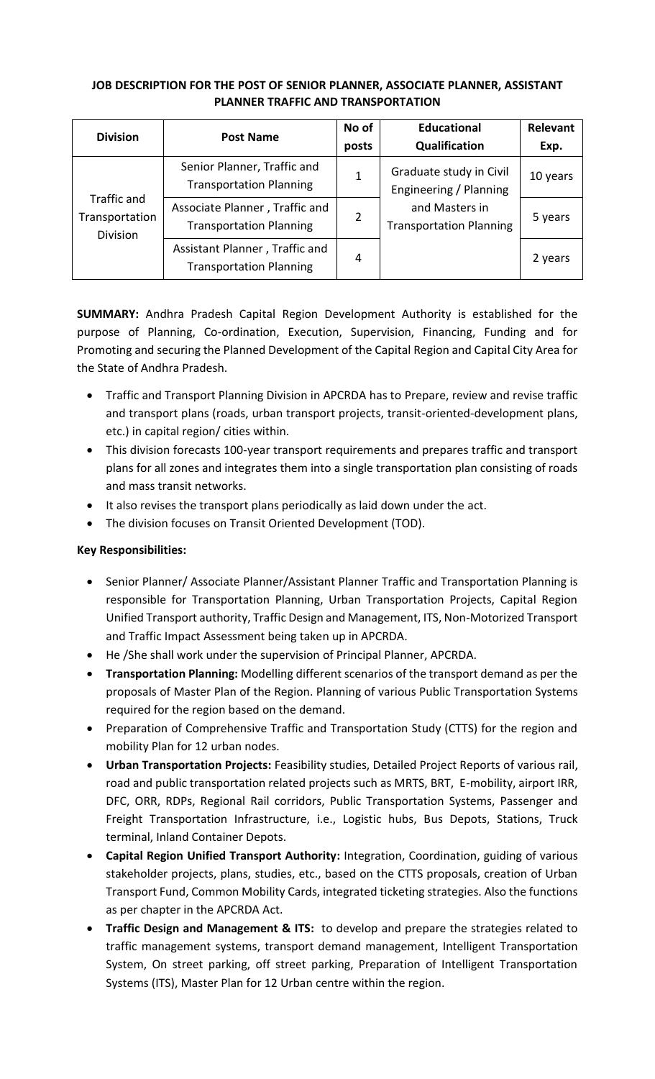## **JOB DESCRIPTION FOR THE POST OF SENIOR PLANNER, ASSOCIATE PLANNER, ASSISTANT PLANNER TRAFFIC AND TRANSPORTATION**

| <b>Division</b>                                  | <b>Post Name</b>                                                 | No of | <b>Educational</b>                                                                                    | Relevant |
|--------------------------------------------------|------------------------------------------------------------------|-------|-------------------------------------------------------------------------------------------------------|----------|
|                                                  |                                                                  | posts | Qualification                                                                                         | Exp.     |
|                                                  | Senior Planner, Traffic and<br><b>Transportation Planning</b>    | 1     | Graduate study in Civil<br>Engineering / Planning<br>and Masters in<br><b>Transportation Planning</b> | 10 years |
| Traffic and<br>Transportation<br><b>Division</b> | Associate Planner, Traffic and<br><b>Transportation Planning</b> | 2     |                                                                                                       | 5 years  |
|                                                  | Assistant Planner, Traffic and<br><b>Transportation Planning</b> | 4     |                                                                                                       | 2 years  |

**SUMMARY:** Andhra Pradesh Capital Region Development Authority is established for the purpose of Planning, Co-ordination, Execution, Supervision, Financing, Funding and for Promoting and securing the Planned Development of the Capital Region and Capital City Area for the State of Andhra Pradesh.

- Traffic and Transport Planning Division in APCRDA has to Prepare, review and revise traffic and transport plans (roads, urban transport projects, transit-oriented-development plans, etc.) in capital region/ cities within.
- This division forecasts 100-year transport requirements and prepares traffic and transport plans for all zones and integrates them into a single transportation plan consisting of roads and mass transit networks.
- It also revises the transport plans periodically as laid down under the act.
- The division focuses on Transit Oriented Development (TOD).

### **Key Responsibilities:**

- Senior Planner/ Associate Planner/Assistant Planner Traffic and Transportation Planning is responsible for Transportation Planning, Urban Transportation Projects, Capital Region Unified Transport authority, Traffic Design and Management, ITS, Non-Motorized Transport and Traffic Impact Assessment being taken up in APCRDA.
- He /She shall work under the supervision of Principal Planner, APCRDA.
- **Transportation Planning:** Modelling different scenarios of the transport demand as per the proposals of Master Plan of the Region. Planning of various Public Transportation Systems required for the region based on the demand.
- Preparation of Comprehensive Traffic and Transportation Study (CTTS) for the region and mobility Plan for 12 urban nodes.
- **Urban Transportation Projects:** Feasibility studies, Detailed Project Reports of various rail, road and public transportation related projects such as MRTS, BRT, E-mobility, airport IRR, DFC, ORR, RDPs, Regional Rail corridors, Public Transportation Systems, Passenger and Freight Transportation Infrastructure, i.e., Logistic hubs, Bus Depots, Stations, Truck terminal, Inland Container Depots.
- **Capital Region Unified Transport Authority:** Integration, Coordination, guiding of various stakeholder projects, plans, studies, etc., based on the CTTS proposals, creation of Urban Transport Fund, Common Mobility Cards, integrated ticketing strategies. Also the functions as per chapter in the APCRDA Act.
- **Traffic Design and Management & ITS:** to develop and prepare the strategies related to traffic management systems, transport demand management, Intelligent Transportation System, On street parking, off street parking, Preparation of Intelligent Transportation Systems (ITS), Master Plan for 12 Urban centre within the region.